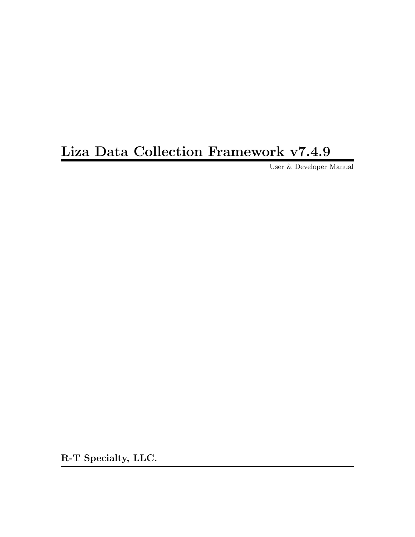# Liza Data Collection Framework v7.4.9

User & Developer Manual

R-T Specialty, LLC.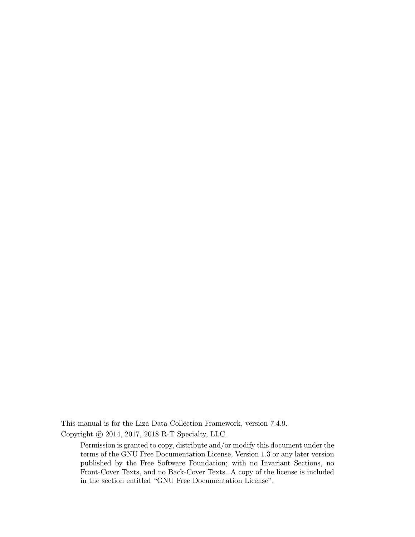This manual is for the Liza Data Collection Framework, version 7.4.9.

Copyright  $\odot$  2014, 2017, 2018 R-T Specialty, LLC.

Permission is granted to copy, distribute and/or modify this document under the terms of the GNU Free Documentation License, Version 1.3 or any later version published by the Free Software Foundation; with no Invariant Sections, no Front-Cover Texts, and no Back-Cover Texts. A copy of the license is included in the section entitled "GNU Free Documentation License".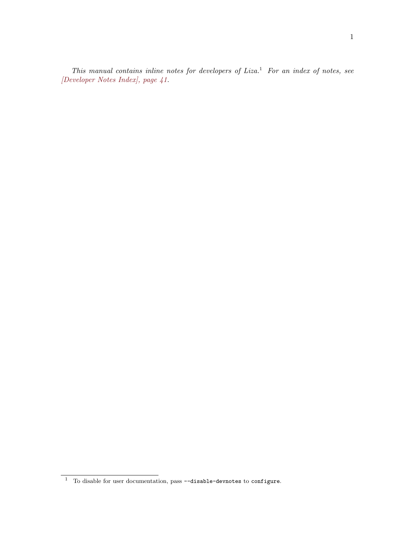This manual contains inline notes for developers of  $Liza.$ <sup>1</sup> For an index of notes, see [\[Developer Notes Index\], page 41.](#page-44-0)

<sup>1</sup> To disable for user documentation, pass --disable-devnotes to configure.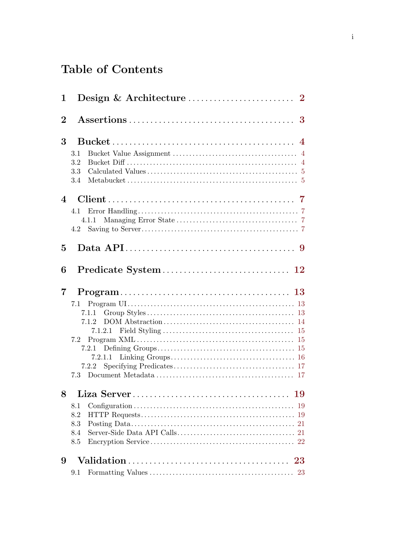# Table of Contents

| 1              |                                                   |
|----------------|---------------------------------------------------|
| $\overline{2}$ |                                                   |
| 3              | 3.1<br>3.2<br>3.3<br>3.4                          |
| $\overline{4}$ | 4.1<br>4.1.1<br>4.2                               |
| $\overline{5}$ |                                                   |
| 6              |                                                   |
|                |                                                   |
| 7              | 7.1.1<br>7.1.2<br>7.2<br>7.2.2                    |
| 8              | 8.1<br>8.2<br>8.3<br>21<br>8.4<br>21<br>8.5<br>22 |
| 9              | 23<br>$9.1\,$                                     |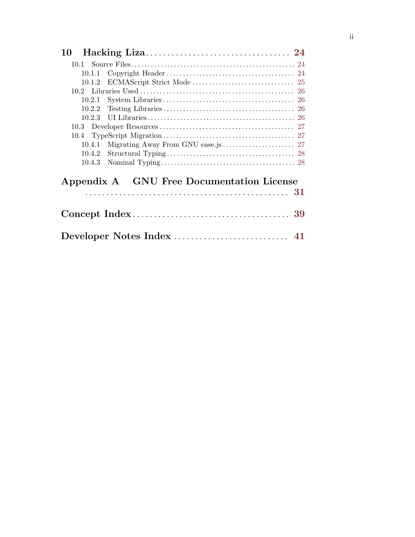| 10     |                                           |  |
|--------|-------------------------------------------|--|
|        |                                           |  |
|        |                                           |  |
|        |                                           |  |
|        |                                           |  |
| 10.2.1 |                                           |  |
|        |                                           |  |
|        |                                           |  |
|        |                                           |  |
|        |                                           |  |
| 10.4.1 |                                           |  |
|        |                                           |  |
|        |                                           |  |
|        | Appendix A GNU Free Documentation License |  |
|        |                                           |  |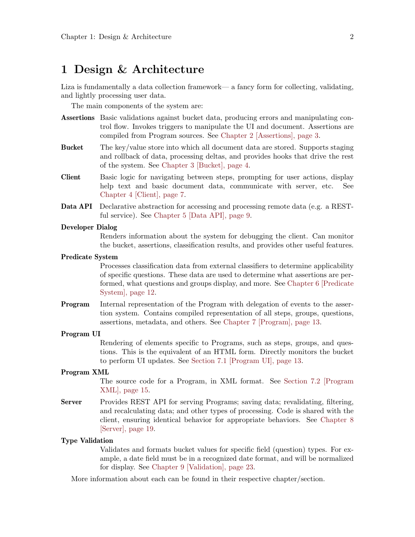### <span id="page-5-0"></span>1 Design & Architecture

Liza is fundamentally a data collection framework— a fancy form for collecting, validating, and lightly processing user data.

The main components of the system are:

- Assertions Basic validations against bucket data, producing errors and manipulating control flow. Invokes triggers to manipulate the UI and document. Assertions are compiled from Program sources. See [Chapter 2 \[Assertions\], page 3](#page-6-0).
- Bucket The key/value store into which all document data are stored. Supports staging and rollback of data, processing deltas, and provides hooks that drive the rest of the system. See [Chapter 3 \[Bucket\], page 4.](#page-7-0)
- Client Basic logic for navigating between steps, prompting for user actions, display help text and basic document data, communicate with server, etc. See [Chapter 4 \[Client\], page 7.](#page-10-0)
- Data API Declarative abstraction for accessing and processing remote data (e.g. a RESTful service). See [Chapter 5 \[Data API\], page 9.](#page-12-0)

#### Developer Dialog

Renders information about the system for debugging the client. Can monitor the bucket, assertions, classification results, and provides other useful features.

#### Predicate System

Processes classification data from external classifiers to determine applicability of specific questions. These data are used to determine what assertions are performed, what questions and groups display, and more. See [Chapter 6 \[Predicate](#page-15-0) [System\], page 12.](#page-15-0)

**Program** Internal representation of the Program with delegation of events to the assertion system. Contains compiled representation of all steps, groups, questions, assertions, metadata, and others. See [Chapter 7 \[Program\], page 13.](#page-16-0)

#### Program UI

Rendering of elements specific to Programs, such as steps, groups, and questions. This is the equivalent of an HTML form. Directly monitors the bucket to perform UI updates. See [Section 7.1 \[Program UI\], page 13.](#page-16-1)

#### Program XML

The source code for a Program, in XML format. See [Section 7.2 \[Program](#page-18-1) [XML\], page 15.](#page-18-1)

Server Provides REST API for serving Programs; saving data; revalidating, filtering, and recalculating data; and other types of processing. Code is shared with the client, ensuring identical behavior for appropriate behaviors. See [Chapter 8](#page-22-0) [\[Server\], page 19](#page-22-0).

#### Type Validation

Validates and formats bucket values for specific field (question) types. For example, a date field must be in a recognized date format, and will be normalized for display. See [Chapter 9 \[Validation\], page 23.](#page-26-0)

More information about each can be found in their respective chapter/section.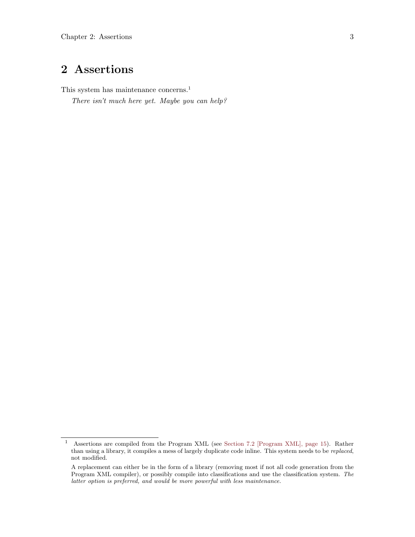## <span id="page-6-0"></span>2 Assertions

This system has maintenance concerns.<sup>1</sup>

There isn't much here yet. Maybe you can help?

<sup>1</sup> Assertions are compiled from the Program XML (see [Section 7.2 \[Program XML\], page 15](#page-18-1)). Rather than using a library, it compiles a mess of largely duplicate code inline. This system needs to be replaced, not modified.

A replacement can either be in the form of a library (removing most if not all code generation from the Program XML compiler), or possibly compile into classifications and use the classification system. The latter option is preferred, and would be more powerful with less maintenance.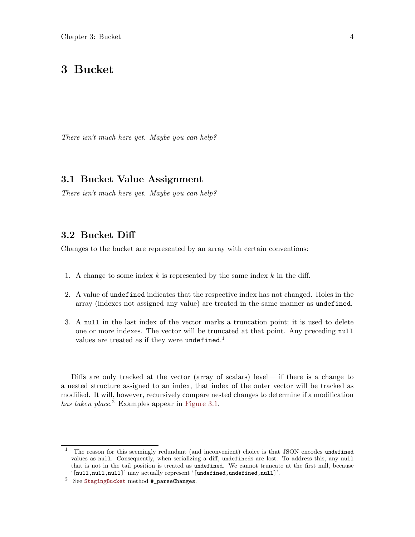### <span id="page-7-0"></span>3 Bucket

There isn't much here yet. Maybe you can help?

### <span id="page-7-2"></span>3.1 Bucket Value Assignment

There isn't much here yet. Maybe you can help?

#### <span id="page-7-1"></span>3.2 Bucket Diff

Changes to the bucket are represented by an array with certain conventions:

- 1. A change to some index  $k$  is represented by the same index  $k$  in the diff.
- 2. A value of undefined indicates that the respective index has not changed. Holes in the array (indexes not assigned any value) are treated in the same manner as undefined.
- 3. A null in the last index of the vector marks a truncation point; it is used to delete one or more indexes. The vector will be truncated at that point. Any preceding null values are treated as if they were undefined.<sup>1</sup>

Diffs are only tracked at the vector (array of scalars) level— if there is a change to a nested structure assigned to an index, that index of the outer vector will be tracked as modified. It will, however, recursively compare nested changes to determine if a modification has taken place.<sup>2</sup> Examples appear in [Figure 3.1](#page-8-1).

<sup>&</sup>lt;sup>1</sup> The reason for this seemingly redundant (and inconvenient) choice is that JSON encodes undefined values as null. Consequently, when serializing a diff, undefineds are lost. To address this, any null that is not in the tail position is treated as undefined. We cannot truncate at the first null, because  $\lq$  [null,null]' may actually represent '[undefined,undefined,null]'.

 $2$  See [StagingBucket](https://gitlab.com/lovullo/liza/tree/master/src/bucket/StagingBucket.js) method  $#_$ parseChanges.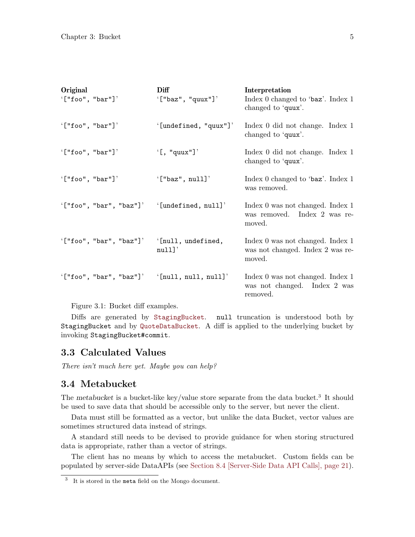<span id="page-8-1"></span><span id="page-8-0"></span>

| Original                                           | Diff                  | Interpretation                                                                 |
|----------------------------------------------------|-----------------------|--------------------------------------------------------------------------------|
| $'$ ["foo", "bar"]'                                | $'$ ["baz", "quux"]'  | Index 0 changed to 'baz'. Index 1<br>changed to 'quux'.                        |
| $'$ ["foo", "bar"]'                                | '[undefined, "quux"]' | Index 0 did not change. Index 1<br>changed to 'quux'.                          |
| $'$ ["foo", "bar"]'                                | $\left($ [, "quux"]'  | Index 0 did not change. Index 1<br>changed to 'quux'.                          |
| $'$ ["foo", "bar"]'                                | $'$ ["baz", null]'    | Index 0 changed to 'baz'. Index 1<br>was removed.                              |
| $'$ ["foo", "bar", "baz"]' $'$ [undefined, null]'  |                       | Index 0 was not changed. Index 1<br>was removed. Index 2 was re-<br>moved.     |
| '["foo", "bar", "baz"]' '[null, undefined,         | null'                 | Index 0 was not changed. Index 1<br>was not changed. Index 2 was re-<br>moved. |
| $'$ ["foo", "bar", "baz"]' $'$ [null, null, null]' |                       | Index 0 was not changed. Index 1<br>was not changed. Index 2 was<br>removed.   |
|                                                    |                       |                                                                                |

Figure 3.1: Bucket diff examples.

Diffs are generated by [StagingBucket](https://gitlab.com/lovullo/liza/tree/master/src/bucket/StagingBucket.js). null truncation is understood both by StagingBucket and by [QuoteDataBucket](https://gitlab.com/lovullo/liza/tree/master/src/bucket/QuoteDataBucket.js). A diff is applied to the underlying bucket by invoking StagingBucket#commit.

#### <span id="page-8-2"></span>3.3 Calculated Values

There isn't much here yet. Maybe you can help?

#### 3.4 Metabucket

The metabucket is a bucket-like key/value store separate from the data bucket.<sup>3</sup> It should be used to save data that should be accessible only to the server, but never the client.

Data must still be formatted as a vector, but unlike the data Bucket, vector values are sometimes structured data instead of strings.

A standard still needs to be devised to provide guidance for when storing structured data is appropriate, rather than a vector of strings.

The client has no means by which to access the metabucket. Custom fields can be populated by server-side DataAPIs (see [Section 8.4 \[Server-Side Data API Calls\], page 21\)](#page-24-1).

 $3$  It is stored in the meta field on the Mongo document.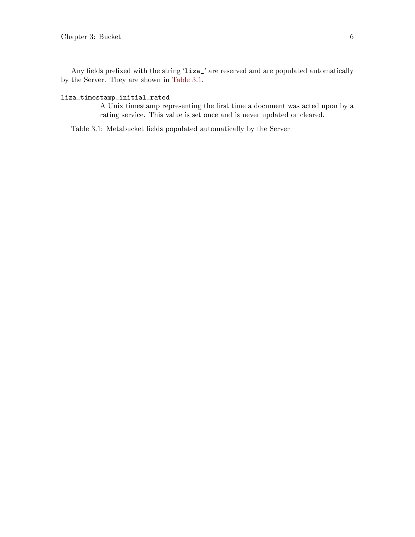<span id="page-9-1"></span>Any fields prefixed with the string 'liza\_' are reserved and are populated automatically by the Server. They are shown in [Table 3.1.](#page-9-0)

#### <span id="page-9-0"></span>liza\_timestamp\_initial\_rated

A Unix timestamp representing the first time a document was acted upon by a rating service. This value is set once and is never updated or cleared.

Table 3.1: Metabucket fields populated automatically by the Server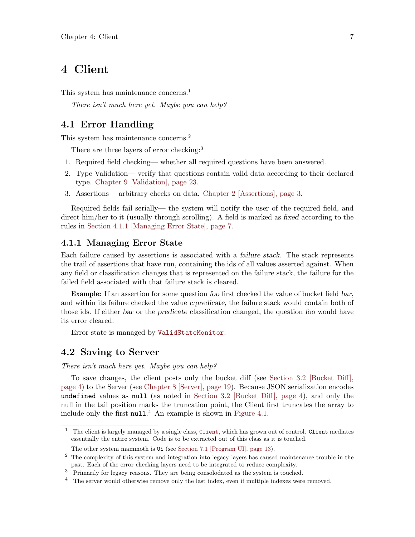### <span id="page-10-0"></span>4 Client

This system has maintenance concerns.<sup>1</sup>

There isn't much here yet. Maybe you can help?

#### <span id="page-10-2"></span>4.1 Error Handling

This system has maintenance concerns.<sup>2</sup>

There are three layers of error checking:<sup>3</sup>

- 1. Required field checking— whether all required questions have been answered.
- 2. Type Validation— verify that questions contain valid data according to their declared type. [Chapter 9 \[Validation\], page 23](#page-26-0).
- 3. Assertions— arbitrary checks on data. [Chapter 2 \[Assertions\], page 3.](#page-6-0)

Required fields fail serially— the system will notify the user of the required field, and direct him/her to it (usually through scrolling). A field is marked as fixed according to the rules in [Section 4.1.1 \[Managing Error State\], page 7.](#page-10-1)

#### <span id="page-10-1"></span>4.1.1 Managing Error State

Each failure caused by assertions is associated with a failure stack. The stack represents the trail of assertions that have run, containing the ids of all values asserted against. When any field or classification changes that is represented on the failure stack, the failure for the failed field associated with that failure stack is cleared.

Example: If an assertion for some question foo first checked the value of bucket field bar, and within its failure checked the value c:predicate, the failure stack would contain both of those ids. If either bar or the predicate classification changed, the question foo would have its error cleared.

Error state is managed by [ValidStateMonitor](https://gitlab.com/lovullo/liza/tree/master/src/validate/ValidStateMonitor.js).

#### 4.2 Saving to Server

There isn't much here yet. Maybe you can help?

To save changes, the client posts only the bucket diff (see [Section 3.2 \[Bucket Diff\],](#page-7-1) [page 4](#page-7-1)) to the Server (see [Chapter 8 \[Server\], page 19\)](#page-22-0). Because JSON serialization encodes undefined values as null (as noted in [Section 3.2 \[Bucket Diff\], page 4](#page-7-1)), and only the null in the tail position marks the truncation point, the Client first truncates the array to include only the first null. <sup>4</sup> An example is shown in [Figure 4.1.](#page-11-0)

<sup>&</sup>lt;sup>1</sup> The client is largely managed by a single class, [Client](https://gitlab.com/lovullo/liza/tree/master/src/client/Client.js), which has grown out of control. Client mediates essentially the entire system. Code is to be extracted out of this class as it is touched.

The other system mammoth is Ui (see [Section 7.1 \[Program UI\], page 13\)](#page-16-1).

<sup>2</sup> The complexity of this system and integration into legacy layers has caused maintenance trouble in the past. Each of the error checking layers need to be integrated to reduce complexity.

<sup>3</sup> Primarily for legacy reasons. They are being consolodated as the system is touched.

 $4$  The server would otherwise remove only the last index, even if multiple indexes were removed.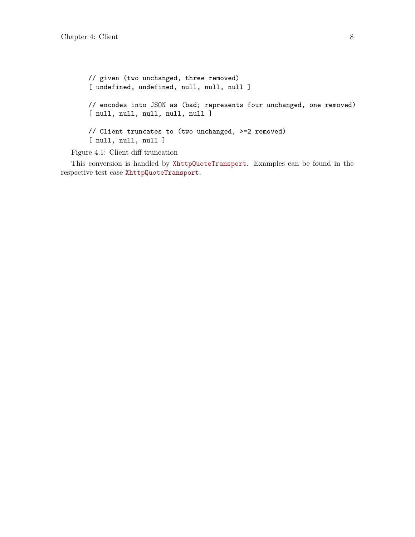```
// given (two unchanged, three removed)
[ undefined, undefined, null, null, null ]
// encodes into JSON as (bad; represents four unchanged, one removed)
[ null, null, null, null ]
// Client truncates to (two unchanged, >=2 removed)
[ null, null, null ]
```
Figure 4.1: Client diff truncation

This conversion is handled by [XhttpQuoteTransport](https://gitlab.com/lovullo/liza/tree/master/src/client/transport/XhttpQuoteTransport.js). Examples can be found in the respective test case [XhttpQuoteTransport](https://gitlab.com/lovullo/liza/tree/master/test/client/transport/XhttpQuoteTransport.js).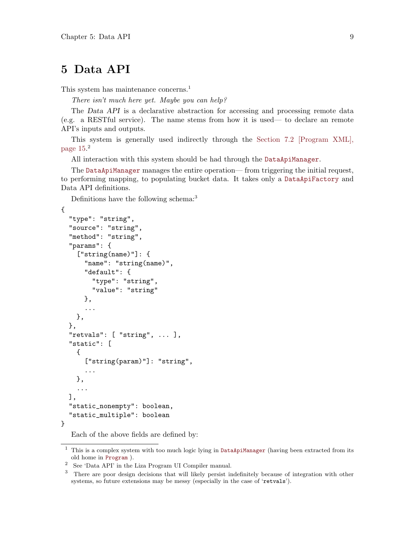### <span id="page-12-0"></span>5 Data API

This system has maintenance concerns.<sup>1</sup>

There isn't much here yet. Maybe you can help?

The Data API is a declarative abstraction for accessing and processing remote data (e.g. a RESTful service). The name stems from how it is used— to declare an remote API's inputs and outputs.

This system is generally used indirectly through the [Section 7.2 \[Program XML\],](#page-18-1) [page 15](#page-18-1). 2

All interaction with this system should be had through the [DataApiManager](https://gitlab.com/lovullo/liza/tree/master/src/dapi/DataApiManager.js).

The [DataApiManager](https://gitlab.com/lovullo/liza/tree/master/src/dapi/DataApiManager.js) manages the entire operation— from triggering the initial request, to performing mapping, to populating bucket data. It takes only a [DataApiFactory](https://gitlab.com/lovullo/liza/tree/master/src/dapi/DataApiFactory.js) and Data API definitions.

Definitions have the following schema:<sup>3</sup>

```
{
  "type": "string",
  "source": "string",
  "method": "string",
  "params": {
    ["string(name)"]: {
      "name": "string(name)",
      "default": {
        "type": "string",
        "value": "string"
      },
      ...
    },
 },
  "retvals": [ "string", ... ],
  "static": [
    {
      ["string(param)"]: "string",
      ...
    },
    ...
 ],
  "static_nonempty": boolean,
  "static_multiple": boolean
}
```
Each of the above fields are defined by:

 $1$  This is a complex system with too much logic lying in [DataApiManager](https://gitlab.com/lovullo/liza/tree/master/src/dapi/DataApiManager.js) (having been extracted from its old home in [Program](https://gitlab.com/lovullo/liza/tree/master/src/program/Program.js) ).

 $^2\;$  See 'Data API' in the Liza Program UI Compiler manual.

<sup>3</sup> There are poor design decisions that will likely persist indefinitely because of integration with other systems, so future extensions may be messy (especially in the case of 'retvals').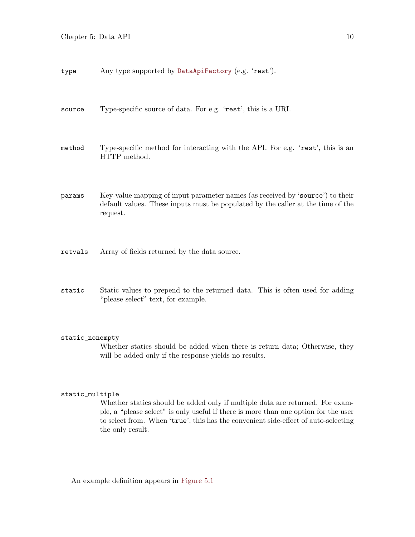type Any type supported by [DataApiFactory](https://gitlab.com/lovullo/liza/tree/master/src/dapi/DataApiFactory.js) (e.g. 'rest').

- source Type-specific source of data. For e.g. 'rest', this is a URI.
- method Type-specific method for interacting with the API. For e.g. 'rest', this is an HTTP method.
- params Key-value mapping of input parameter names (as received by 'source') to their default values. These inputs must be populated by the caller at the time of the request.
- retvals Array of fields returned by the data source.
- static Static values to prepend to the returned data. This is often used for adding "please select" text, for example.

#### static\_nonempty

Whether statics should be added when there is return data; Otherwise, they will be added only if the response yields no results.

#### static\_multiple

Whether statics should be added only if multiple data are returned. For example, a "please select" is only useful if there is more than one option for the user to select from. When 'true', this has the convenient side-effect of auto-selecting the only result.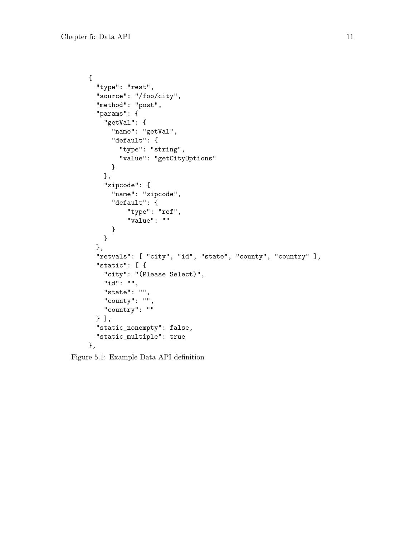```
{
  "type": "rest",
  "source": "/foo/city",
  "method": "post",
  "params": {
    "getVal": {
      "name": "getVal",
      "default": {
       "type": "string",
        "value": "getCityOptions"
      }
    },
    "zipcode": {
      "name": "zipcode",
      "default": {
          "type": "ref",
          "value": ""
      }
   }
  },
  "retvals": [ "city", "id", "state", "county", "country" ],
  "static": [ {
    "city": "(Please Select)",
    "id": "",
    "state": "",
    "county": "",
    "country": ""
  } ],
  "static_nonempty": false,
  "static_multiple": true
},
```
Figure 5.1: Example Data API definition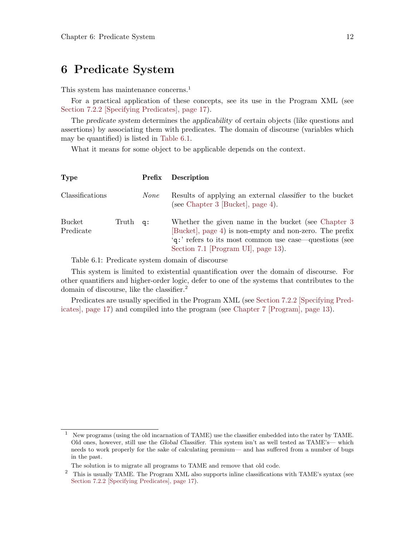### <span id="page-15-0"></span>6 Predicate System

This system has maintenance concerns.<sup>1</sup>

For a practical application of these concepts, see its use in the Program XML (see [Section 7.2.2 \[Specifying Predicates\], page 17](#page-20-1)).

The predicate system determines the applicability of certain objects (like questions and assertions) by associating them with predicates. The domain of discourse (variables which may be quantified) is listed in [Table 6.1](#page-15-1).

What it means for some object to be applicable depends on the context.

<span id="page-15-1"></span>

| <b>Type</b>         |             | Prefix      | Description                                                                                                                                                                                                      |
|---------------------|-------------|-------------|------------------------------------------------------------------------------------------------------------------------------------------------------------------------------------------------------------------|
| Classifications     |             | <i>None</i> | Results of applying an external <i>classifier</i> to the bucket<br>(see Chapter 3 [Bucket], page 4).                                                                                                             |
| Bucket<br>Predicate | Truth $q$ : |             | Whether the given name in the bucket (see Chapter 3)<br>[Bucket], page 4) is non-empty and non-zero. The prefix<br>'q:' refers to its most common use case—questions (see<br>Section 7.1 [Program UI], page 13). |

Table 6.1: Predicate system domain of discourse

This system is limited to existential quantification over the domain of discourse. For other quantifiers and higher-order logic, defer to one of the systems that contributes to the domain of discourse, like the classifier.<sup>2</sup>

Predicates are usually specified in the Program XML (see [Section 7.2.2 \[Specifying Pred](#page-20-1)[icates\], page 17\)](#page-20-1) and compiled into the program (see [Chapter 7 \[Program\], page 13](#page-16-0)).

<sup>&</sup>lt;sup>1</sup> New programs (using the old incarnation of TAME) use the classifier embedded into the rater by TAME. Old ones, however, still use the Global Classifier. This system isn't as well tested as TAME's— which needs to work properly for the sake of calculating premium— and has suffered from a number of bugs in the past.

The solution is to migrate all programs to TAME and remove that old code.

<sup>&</sup>lt;sup>2</sup> This is usually TAME. The Program XML also supports inline classifications with TAME's syntax (see [Section 7.2.2 \[Specifying Predicates\], page 17\)](#page-20-1).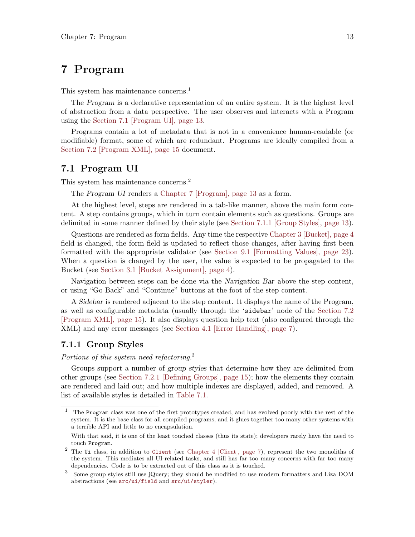### <span id="page-16-0"></span>7 Program

This system has maintenance concerns.<sup>1</sup>

The Program is a declarative representation of an entire system. It is the highest level of abstraction from a data perspective. The user observes and interacts with a Program using the [Section 7.1 \[Program UI\], page 13](#page-16-1).

Programs contain a lot of metadata that is not in a convenience human-readable (or modifiable) format, some of which are redundant. Programs are ideally compiled from a [Section 7.2 \[Program XML\], page 15](#page-18-1) document.

#### <span id="page-16-1"></span>7.1 Program UI

This system has maintenance concerns.<sup>2</sup>

The Program UI renders a [Chapter 7 \[Program\], page 13](#page-16-0) as a form.

At the highest level, steps are rendered in a tab-like manner, above the main form content. A step contains groups, which in turn contain elements such as questions. Groups are delimited in some manner defined by their style (see [Section 7.1.1 \[Group Styles\], page 13\)](#page-16-2).

Questions are rendered as form fields. Any time the respective [Chapter 3 \[Bucket\], page 4](#page-7-0) field is changed, the form field is updated to reflect those changes, after having first been formatted with the appropriate validator (see [Section 9.1 \[Formatting Values\], page 23\)](#page-26-1). When a question is changed by the user, the value is expected to be propagated to the Bucket (see [Section 3.1 \[Bucket Assignment\], page 4\)](#page-7-2).

Navigation between steps can be done via the Navigation Bar above the step content, or using "Go Back" and "Continue" buttons at the foot of the step content.

A Sidebar is rendered adjacent to the step content. It displays the name of the Program, as well as configurable metadata (usually through the 'sidebar' node of the [Section 7.2](#page-18-1) [\[Program XML\], page 15](#page-18-1)). It also displays question help text (also configured through the XML) and any error messages (see [Section 4.1 \[Error Handling\], page 7\)](#page-10-2).

#### <span id="page-16-2"></span>7.1.1 Group Styles

Portions of this system need refactoring.<sup>3</sup>

Groups support a number of group styles that determine how they are delimited from other groups (see [Section 7.2.1 \[Defining Groups\], page 15](#page-18-2)); how the elements they contain are rendered and laid out; and how multiple indexes are displayed, added, and removed. A list of available styles is detailed in [Table 7.1](#page-17-1).

<sup>1</sup> The Program class was one of the first prototypes created, and has evolved poorly with the rest of the system. It is the base class for all compiled programs, and it glues together too many other systems with a terrible API and little to no encapsulation.

With that said, it is one of the least touched classes (thus its state); developers rarely have the need to touch Program.

<sup>2</sup> The Ui class, in addition to [Client](https://gitlab.com/lovullo/liza/tree/master/src/client/Client) (see [Chapter 4 \[Client\], page 7\)](#page-10-0), represent the two monoliths of the system. This mediates all UI-related tasks, and still has far too many concerns with far too many dependencies. Code is to be extracted out of this class as it is touched.

<sup>3</sup> Some group styles still use jQuery; they should be modified to use modern formatters and Liza DOM abstractions (see [src/ui/field](https://gitlab.com/lovullo/liza/tree/master/src/ui/field) and [src/ui/styler](https://gitlab.com/lovullo/liza/tree/master/src/ui/styler)).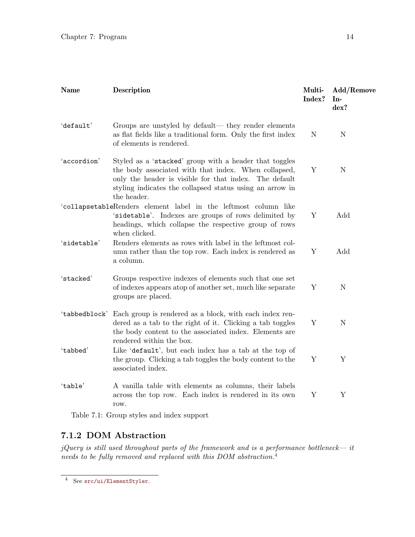<span id="page-17-1"></span><span id="page-17-0"></span>

| <b>Name</b>   | Description                                                                                                                                                                                                                                         | Multi-<br>Index? | Add/Remove<br>In-<br>dex? |
|---------------|-----------------------------------------------------------------------------------------------------------------------------------------------------------------------------------------------------------------------------------------------------|------------------|---------------------------|
| 'default'     | Groups are unstyled by default— they render elements<br>as flat fields like a traditional form. Only the first index<br>of elements is rendered.                                                                                                    | $\mathbf N$      | $\mathbf N$               |
| 'accordion'   | Styled as a 'stacked' group with a header that toggles<br>the body associated with that index. When collapsed,<br>only the header is visible for that index. The default<br>styling indicates the collapsed status using an arrow in<br>the header. | $\mathbf Y$      | $\mathbf N$               |
|               | 'collapsetableRenders element label in the leftmost column like<br>'sidetable'. Indexes are groups of rows delimited by<br>headings, which collapse the respective group of rows<br>when clicked.                                                   | Y                | Add                       |
| 'sidetable'   | Renders elements as rows with label in the leftmost col-<br>umn rather than the top row. Each index is rendered as<br>a column.                                                                                                                     | Y                | Add                       |
| 'stacked'     | Groups respective indexes of elements such that one set<br>of indexes appears atop of another set, much like separate<br>groups are placed.                                                                                                         | Y                | $\mathbf N$               |
| 'tabbedblock' | Each group is rendered as a block, with each index ren-<br>dered as a tab to the right of it. Clicking a tab toggles<br>the body content to the associated index. Elements are<br>rendered within the box.                                          | Y                | $\mathbf N$               |
| 'tabbed'      | Like 'default', but each index has a tab at the top of<br>the group. Clicking a tab toggles the body content to the<br>associated index.                                                                                                            | Y                | Y                         |
| 'table'       | A vanilla table with elements as columns, their labels<br>across the top row. Each index is rendered in its own<br>row.                                                                                                                             | Y                | Y                         |
|               | Table 7.1: Group styles and index support                                                                                                                                                                                                           |                  |                           |

#### 7.1.2 DOM Abstraction

jQuery is still used throughout parts of the framework and is a performance bottleneck— it needs to be fully removed and replaced with this DOM abstraction.<sup>4</sup>

<sup>4</sup> See [src/ui/ElementStyler](https://gitlab.com/lovullo/liza/tree/master/src/ui/ElementStyler).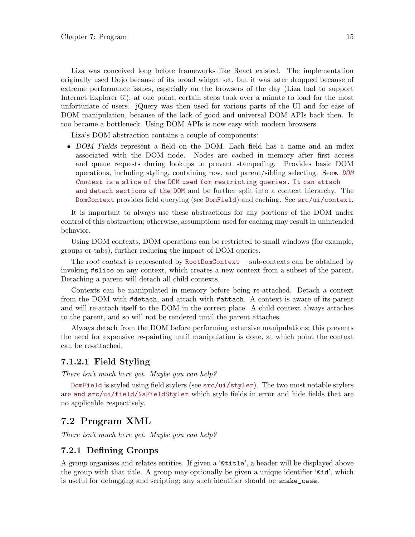<span id="page-18-0"></span>Liza was conceived long before frameworks like React existed. The implementation originally used Dojo because of its broad widget set, but it was later dropped because of extreme performance issues, especially on the browsers of the day (Liza had to support Internet Explorer 6!); at one point, certain steps took over a minute to load for the most unfortunate of users. jQuery was then used for various parts of the UI and for ease of DOM manipulation, because of the lack of good and universal DOM APIs back then. It too became a bottleneck. Using DOM APIs is now easy with modern browsers.

Liza's DOM abstraction contains a couple of components:

• DOM Fields represent a field on the DOM. Each field has a name and an index associated with the DOM node. Nodes are cached in memory after first access and queue requests during lookups to prevent stampeding. Provides basic DOM operations, including styling, containing row, and parent/sibling selecting. See•. [DOM](https://gitlab.com/lovullo/liza/tree/master/src/ui/field) Context [is a slice of the DOM used for restricting queries. It can attach](https://gitlab.com/lovullo/liza/tree/master/src/ui/field) [and detach sections of the DOM](https://gitlab.com/lovullo/liza/tree/master/src/ui/field) and be further split into a context hierarchy. The [DomContext](https://gitlab.com/lovullo/liza/tree/master/src/src/ui/context/DomContext.js) provides field querying (see [DomField](https://gitlab.com/lovullo/liza/tree/master/src/src/ui/field/DomField.js)) and caching. See [src/ui/context](https://gitlab.com/lovullo/liza/tree/master/src/ui/context).

It is important to always use these abstractions for any portions of the DOM under control of this abstraction; otherwise, assumptions used for caching may result in unintended behavior.

Using DOM contexts, DOM operations can be restricted to small windows (for example, groups or tabs), further reducing the impact of DOM queries.

The root context is represented by [RootDomContext](https://gitlab.com/lovullo/liza/tree/master/src/src/ui/context/RootDomContext.js)— sub-contexts can be obtained by invoking #slice on any context, which creates a new context from a subset of the parent. Detaching a parent will detach all child contexts.

Contexts can be manipulated in memory before being re-attached. Detach a context from the DOM with #detach, and attach with #attach. A context is aware of its parent and will re-attach itself to the DOM in the correct place. A child context always attaches to the parent, and so will not be rendered until the parent attaches.

Always detach from the DOM before performing extensive manipulations; this prevents the need for expensive re-painting until manipulation is done, at which point the context can be re-attached.

#### 7.1.2.1 Field Styling

There isn't much here yet. Maybe you can help?

[DomField](https://gitlab.com/lovullo/liza/tree/master/src/src/ui/field/DomField.js) is styled using field stylers (see [src/ui/styler](https://gitlab.com/lovullo/liza/tree/master/src/ui/styler)). The two most notable stylers are [and src/ui/field/NaFieldStyler](https://gitlab.com/lovullo/liza/tree/master/src/src/ui/field/ErrorFieldStyler/and srcrefjs {src/ui/field/NaFieldStyler}.js) which style fields in error and hide fields that are no applicable respectively.

#### <span id="page-18-1"></span>7.2 Program XML

There isn't much here yet. Maybe you can help?

#### <span id="page-18-2"></span>7.2.1 Defining Groups

A group organizes and relates entities. If given a '@title', a header will be displayed above the group with that title. A group may optionally be given a unique identifier '@id', which is useful for debugging and scripting; any such identifier should be snake\_case.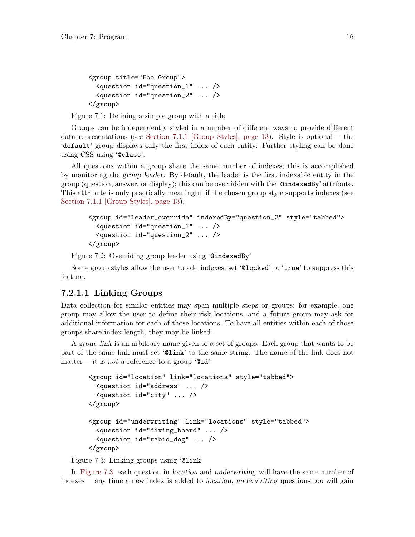```
<group title="Foo Group">
  <question id="question_1" ... />
  <question id="question_2" ... />
</group>
```
Figure 7.1: Defining a simple group with a title

Groups can be independently styled in a number of different ways to provide different data representations (see [Section 7.1.1 \[Group Styles\], page 13\)](#page-16-2). Style is optional— the 'default' group displays only the first index of each entity. Further styling can be done using CSS using '@class'.

All questions within a group share the same number of indexes; this is accomplished by monitoring the group leader. By default, the leader is the first indexable entity in the group (question, answer, or display); this can be overridden with the '@indexedBy' attribute. This attribute is only practically meaningful if the chosen group style supports indexes (see [Section 7.1.1 \[Group Styles\], page 13](#page-16-2)).

```
<group id="leader_override" indexedBy="question_2" style="tabbed">
  <question id="question_1" ... />
  <question id="question_2" ... />
</group>
```
Figure 7.2: Overriding group leader using '@indexedBy'

Some group styles allow the user to add indexes; set '@locked' to 'true' to suppress this feature.

#### 7.2.1.1 Linking Groups

Data collection for similar entities may span multiple steps or groups; for example, one group may allow the user to define their risk locations, and a future group may ask for additional information for each of those locations. To have all entities within each of those groups share index length, they may be linked.

A group link is an arbitrary name given to a set of groups. Each group that wants to be part of the same link must set '@link' to the same string. The name of the link does not matter— it is *not* a reference to a group ' $\mathbf{0}$ id'.

```
<group id="location" link="locations" style="tabbed">
  <question id="address" ... />
  <question id="city" ... />
</group>
<group id="underwriting" link="locations" style="tabbed">
  <question id="diving_board" ... />
  <question id="rabid_dog" ... />
</group>
```
Figure 7.3: Linking groups using '@link'

In [Figure 7.3,](#page-19-1) each question in location and underwriting will have the same number of indexes— any time a new index is added to location, underwriting questions too will gain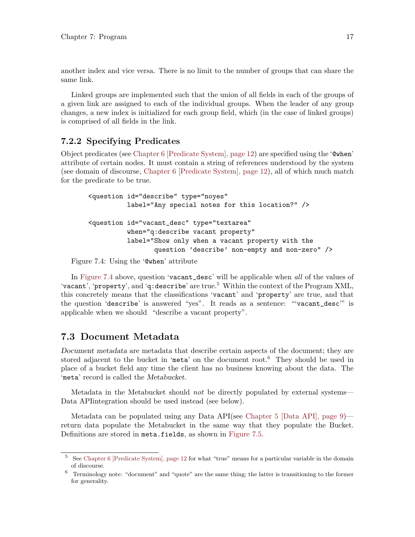<span id="page-20-0"></span>another index and vice versa. There is no limit to the number of groups that can share the same link.

Linked groups are implemented such that the union of all fields in each of the groups of a given link are assigned to each of the individual groups. When the leader of any group changes, a new index is initialized for each group field, which (in the case of linked groups) is comprised of all fields in the link.

#### <span id="page-20-1"></span>7.2.2 Specifying Predicates

Object predicates (see [Chapter 6 \[Predicate System\], page 12](#page-15-0)) are specified using the '@when' attribute of certain nodes. It must contain a string of references understood by the system (see domain of discourse, [Chapter 6 \[Predicate System\], page 12\)](#page-15-0), all of which much match for the predicate to be true.

```
<question id="describe" type="noyes"
          label="Any special notes for this location?" />
<question id="vacant_desc" type="textarea"
          when="q:describe vacant property"
          label="Show only when a vacant property with the
                 question 'describe' non-empty and non-zero" />
```
Figure 7.4: Using the '@when' attribute

In [Figure 7.4](#page-20-2) above, question 'vacant\_desc' will be applicable when all of the values of 'vacant', 'property', and 'q:describe' are true.<sup>5</sup> Within the context of the Program XML, this concretely means that the classifications 'vacant' and 'property' are true, and that the question 'describe' is answered "yes". It reads as a sentence: "'vacant\_desc'" is applicable when we should "describe a vacant property".

#### 7.3 Document Metadata

Document metadata are metadata that describe certain aspects of the document; they are stored adjacent to the bucket in 'meta' on the document root.<sup>6</sup> They should be used in place of a bucket field any time the client has no business knowing about the data. The 'meta' record is called the Metabucket.

Metadata in the Metabucket should not be directly populated by external systems— Data APIintegration should be used instead (see below).

Metadata can be populated using any Data API(see [Chapter 5 \[Data API\], page 9\)](#page-12-0) return data populate the Metabucket in the same way that they populate the Bucket. Definitions are stored in meta.fields, as shown in [Figure 7.5](#page-21-0).

<sup>5</sup> See [Chapter 6 \[Predicate System\], page 12](#page-15-0) for what "true" means for a particular variable in the domain of discourse.

 $6$  Terminology note: "document" and "quote" are the same thing; the latter is transitioning to the former for generality.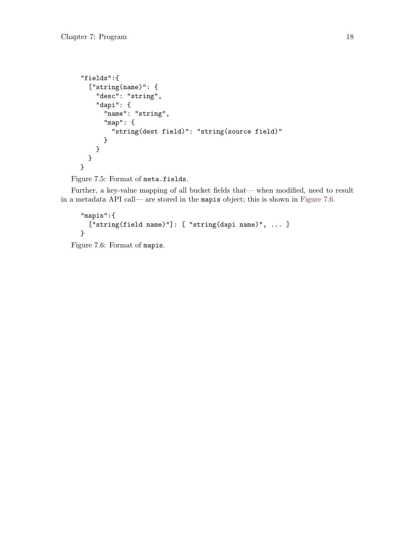```
"fields":{
  ["string(name)": {
    "desc": "string",
    "dapi": {
      "name": "string",
      "map": {
        "string(dest field)": "string(source field)"
      }
   }
 }
}
```

```
Figure 7.5: Format of meta.fields.
```
Further, a key-value mapping of all bucket fields that— when modified, need to result in a metadata API call— are stored in the mapis object; this is shown in [Figure 7.6.](#page-21-1)

```
"mapis":{
  ["string(field name)"]: [ "string(dapi name)", ... ]
}
```
Figure 7.6: Format of mapis.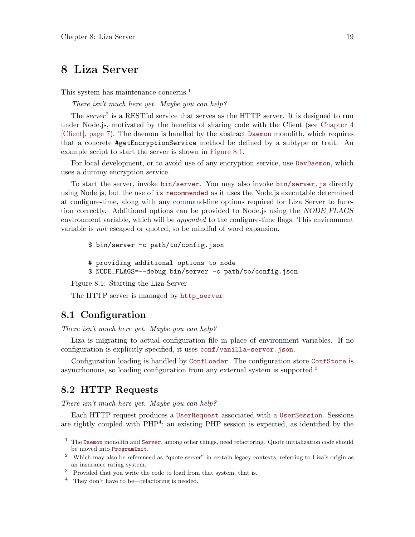### <span id="page-22-0"></span>8 Liza Server

This system has maintenance concerns.<sup>1</sup>

There isn't much here yet. Maybe you can help?

The server<sup>2</sup> is a RESTful service that serves as the HTTP server. It is designed to run under Node.js, motivated by the benefits of sharing code with the Client (see [Chapter 4](#page-10-0) [\[Client\], page 7](#page-10-0)). The daemon is handled by the abstract [Daemon](https://gitlab.com/lovullo/liza/tree/master/src/server/daemon/Daemon.js) monolith, which requires that a concrete #getEncryptionService method be defined by a subtype or trait. An example script to start the server is shown in [Figure 8.1](#page-22-1).

For local development, or to avoid use of any encryption service, use [DevDaemon](https://gitlab.com/lovullo/liza/tree/master/src/server/daemon/DevDaemon.js), which uses a dummy encryption service.

To start the server, invoke [bin/server](https://gitlab.com/lovullo/liza/tree/master/bin/server). You may also invoke [bin/server.js](https://gitlab.com/lovullo/liza/tree/master/bin/server.js) directly using Node.js, but the use of [is recommended](https://gitlab.com/lovullo/liza/tree/master/bin/server) as it uses the Node.js executable determined at configure-time, along with any command-line options required for Liza Server to function correctly. Additional options can be provided to Node.js using the NODE FLAGS environment variable, which will be *appended* to the configure-time flags. This environment variable is not escaped or quoted, so be mindful of word expansion.

```
$ bin/server -c path/to/config.json
```

```
# providing additional options to node
```

```
$ NODE_FLAGS=--debug bin/server -c path/to/config.json
```
Figure 8.1: Starting the Liza Server

The HTTP server is managed by [http\\_server](https://gitlab.com/lovullo/liza/tree/master/src/server/daemon/http_server.js).

#### 8.1 Configuration

There isn't much here yet. Maybe you can help?

Liza is migrating to actual configuration file in place of environment variables. If no configuration is explicitly specified, it uses [conf/vanilla-server.json](https://gitlab.com/lovullo/liza/tree/master/conf/vanilla-server.json).

Configuration loading is handled by [ConfLoader](https://gitlab.com/lovullo/liza/tree/master/src/conf/ConfLoader.js). The configuration store [ConfStore](https://gitlab.com/lovullo/liza/tree/master/src/conf/ConfStore.js) is asyncrhonous, so loading configuration from any external system is supported.<sup>3</sup>

#### 8.2 HTTP Requests

There isn't much here yet. Maybe you can help?

Each HTTP request produces a [UserRequest](https://gitlab.com/lovullo/liza/tree/master/src/server/request/UserRequest.js) associated with a [UserSession](https://gitlab.com/lovullo/liza/tree/master/src/server/request/UserSession.js). Sessions are tightly coupled with PHP<sup>4</sup>; an existing PHP session is expected, as identified by the

 $^{\rm 1}$  The [Daemon](https://gitlab.com/lovullo/liza/tree/master/src/server/daemon/Daemon.js) monolith and [Server](https://gitlab.com/lovullo/liza/tree/master/src/server/Server.js), among other things, need refactoring. Quote initialization code should be moved into [ProgramInit](https://gitlab.com/lovullo/liza/tree/master/src/server/ProgramInit.js).

<sup>2</sup> Which may also be referenced as "quote server" in certain legacy contexts, referring to Liza's origin as an insurance rating system.

 $^3$  Provided that you write the code to load from that system, that is.

<sup>4</sup> They don't have to be—refactoring is needed.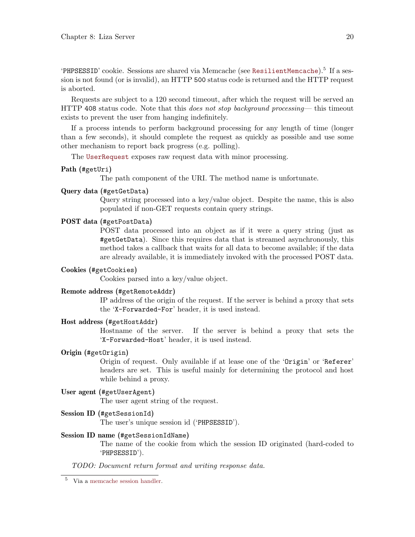<span id="page-23-0"></span>'PHPSESSID' cookie. Sessions are shared via Memcache (see [ResilientMemcache](https://gitlab.com/lovullo/liza/tree/master/src/server/cache/ResilientMemcache.js)).<sup>5</sup> If a session is not found (or is invalid), an HTTP 500 status code is returned and the HTTP request is aborted.

Requests are subject to a 120 second timeout, after which the request will be served an HTTP 408 status code. Note that this *does not stop background processing*— this timeout exists to prevent the user from hanging indefinitely.

If a process intends to perform background processing for any length of time (longer than a few seconds), it should complete the request as quickly as possible and use some other mechanism to report back progress (e.g. polling).

The [UserRequest](https://gitlab.com/lovullo/liza/tree/master/src/server/request/UserRequest.js) exposes raw request data with minor processing.

#### Path (#getUri)

The path component of the URI. The method name is unfortunate.

#### Query data (#getGetData)

Query string processed into a key/value object. Despite the name, this is also populated if non-GET requests contain query strings.

#### POST data (#getPostData)

POST data processed into an object as if it were a query string (just as #getGetData). Since this requires data that is streamed asynchronously, this method takes a callback that waits for all data to become available; if the data are already available, it is immediately invoked with the processed POST data.

#### Cookies (#getCookies)

Cookies parsed into a key/value object.

#### Remote address (#getRemoteAddr)

IP address of the origin of the request. If the server is behind a proxy that sets the 'X-Forwarded-For' header, it is used instead.

#### Host address (#getHostAddr)

Hostname of the server. If the server is behind a proxy that sets the 'X-Forwarded-Host' header, it is used instead.

#### Origin (#getOrigin)

Origin of request. Only available if at lease one of the 'Origin' or 'Referer' headers are set. This is useful mainly for determining the protocol and host while behind a proxy.

#### User agent (#getUserAgent)

The user agent string of the request.

#### Session ID (#getSessionId)

The user's unique session id ('PHPSESSID').

#### Session ID name (#getSessionIdName)

The name of the cookie from which the session ID originated (hard-coded to 'PHPSESSID').

TODO: Document return format and writing response data.

<sup>5</sup> Via a [memcache session handler.](https://secure.php.net/manual/en/memcached.sessions.php)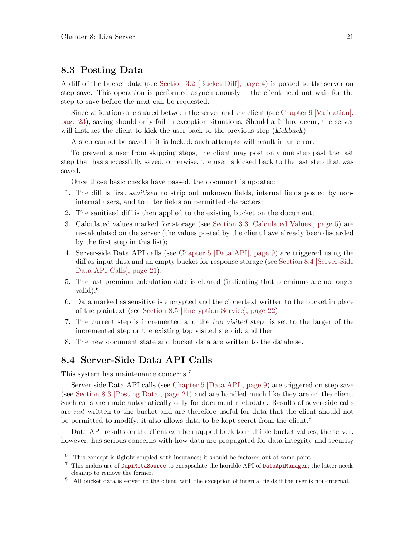#### <span id="page-24-0"></span>8.3 Posting Data

A diff of the bucket data (see [Section 3.2 \[Bucket Diff\], page 4](#page-7-1)) is posted to the server on step save. This operation is performed asynchronously— the client need not wait for the step to save before the next can be requested.

Since validations are shared between the server and the client (see [Chapter 9 \[Validation\],](#page-26-0) [page 23](#page-26-0)), saving should only fail in exception situations. Should a failure occur, the server will instruct the client to kick the user back to the previous step (kickback).

A step cannot be saved if it is locked; such attempts will result in an error.

To prevent a user from skipping steps, the client may post only one step past the last step that has successfully saved; otherwise, the user is kicked back to the last step that was saved.

Once those basic checks have passed, the document is updated:

- 1. The diff is first sanitized to strip out unknown fields, internal fields posted by noninternal users, and to filter fields on permitted characters;
- 2. The sanitized diff is then applied to the existing bucket on the document;
- 3. Calculated values marked for storage (see [Section 3.3 \[Calculated Values\], page 5](#page-8-2)) are re-calculated on the server (the values posted by the client have already been discarded by the first step in this list);
- 4. Server-side Data API calls (see [Chapter 5 \[Data API\], page 9\)](#page-12-0) are triggered using the diff as input data and an empty bucket for response storage (see [Section 8.4 \[Server-Side](#page-24-1) [Data API Calls\], page 21\)](#page-24-1);
- 5. The last premium calculation date is cleared (indicating that premiums are no longer valid); $^6$
- 6. Data marked as sensitive is encrypted and the ciphertext written to the bucket in place of the plaintext (see [Section 8.5 \[Encryption Service\], page 22](#page-25-1));
- 7. The current step is incremented and the top visited step is set to the larger of the incremented step or the existing top visited step id; and then
- 8. The new document state and bucket data are written to the database.

#### <span id="page-24-1"></span>8.4 Server-Side Data API Calls

This system has maintenance concerns.<sup>7</sup>

Server-side Data API calls (see [Chapter 5 \[Data API\], page 9](#page-12-0)) are triggered on step save (see [Section 8.3 \[Posting Data\], page 21](#page-24-0)) and are handled much like they are on the client. Such calls are made automatically only for document metadata. Results of sever-side calls are not written to the bucket and are therefore useful for data that the client should not be permitted to modify; it also allows data to be kept secret from the client.<sup>8</sup>

Data API results on the client can be mapped back to multiple bucket values; the server, however, has serious concerns with how data are propagated for data integrity and security

<sup>6</sup> This concept is tightly coupled with insurance; it should be factored out at some point.

<sup>7</sup> This makes use of [DapiMetaSource](https://gitlab.com/lovullo/liza/tree/master/src/server/meta/DapiMetaSource.js) to encapsulate the horrible API of [DataApiManager](https://gitlab.com/lovullo/liza/tree/master/src/dapi/DataApiManager.js); the latter needs cleanup to remove the former.

<sup>8</sup> All bucket data is served to the client, with the exception of internal fields if the user is non-internal.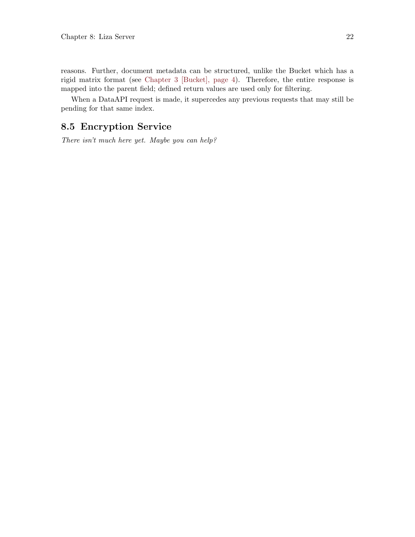<span id="page-25-0"></span>reasons. Further, document metadata can be structured, unlike the Bucket which has a rigid matrix format (see [Chapter 3 \[Bucket\], page 4](#page-7-0)). Therefore, the entire response is mapped into the parent field; defined return values are used only for filtering.

When a DataAPI request is made, it supercedes any previous requests that may still be pending for that same index.

### <span id="page-25-1"></span>8.5 Encryption Service

There isn't much here yet. Maybe you can help?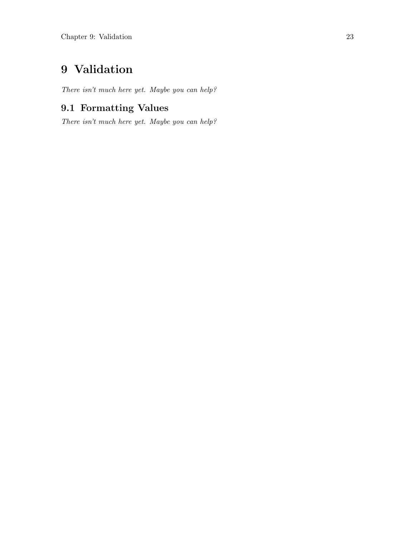## <span id="page-26-0"></span>9 Validation

There isn't much here yet. Maybe you can help?

### <span id="page-26-1"></span>9.1 Formatting Values

There isn't much here yet. Maybe you can help?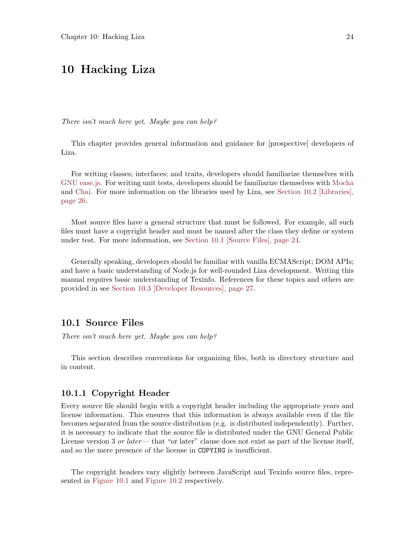### <span id="page-27-0"></span>10 Hacking Liza

There isn't much here yet. Maybe you can help?

This chapter provides general information and guidance for [prospective] developers of Liza.

For writing classes; interfaces; and traits, developers should familiarize themselves with [GNU ease.js.](https://www.gnu.org/software/easejs) For writing unit tests, developers should be familiarize themselves with [Mocha](https://mochajs.org/) and [Chai.](http://www.chaijs.com/) For more information on the libraries used by Liza, see [Section 10.2 \[Libraries\],](#page-29-1) [page 26](#page-29-1).

Most source files have a general structure that must be followed. For example, all such files must have a copyright header and must be named after the class they define or system under test. For more information, see [Section 10.1 \[Source Files\], page 24.](#page-27-1)

Generally speaking, developers should be familiar with vanilla ECMAScript; DOM APIs; and have a basic understanding of Node.js for well-rounded Liza development. Writing this manual requires basic understanding of Texinfo. References for these topics and others are provided in see [Section 10.3 \[Developer Resources\], page 27.](#page-30-1)

#### <span id="page-27-1"></span>10.1 Source Files

There isn't much here yet. Maybe you can help?

This section describes conventions for organizing files, both in directory structure and in content.

#### <span id="page-27-2"></span>10.1.1 Copyright Header

Every source file should begin with a copyright header including the appropriate years and license information. This ensures that this information is always available even if the file becomes separated from the source distribution (e.g. is distributed independently). Further, it is necessary to indicate that the source file is distributed under the GNU General Public License version 3 or later— that "or later" clause does not exist as part of the license itself, and so the mere presence of the license in COPYING is insufficient.

The copyright headers vary slightly between JavaScript and Texinfo source files, represented in [Figure 10.1](#page-28-1) and [Figure 10.2](#page-28-2) respectively.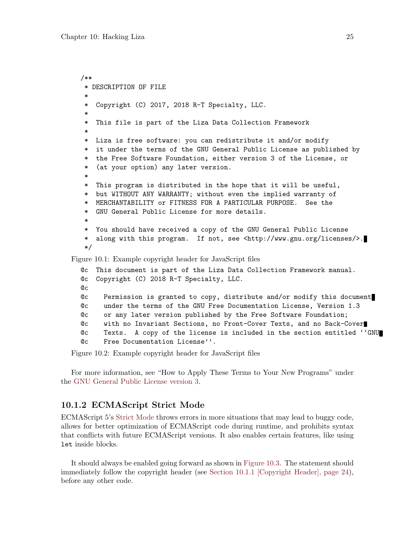```
/**
   * DESCRIPTION OF FILE
   *
   * Copyright (C) 2017, 2018 R-T Specialty, LLC.
   *
   * This file is part of the Liza Data Collection Framework
   *
   * Liza is free software: you can redistribute it and/or modify
   * it under the terms of the GNU General Public License as published by
   * the Free Software Foundation, either version 3 of the License, or
   * (at your option) any later version.
   *
   * This program is distributed in the hope that it will be useful,
   * but WITHOUT ANY WARRANTY; without even the implied warranty of
   * MERCHANTABILITY or FITNESS FOR A PARTICULAR PURPOSE. See the
   * GNU General Public License for more details.
   *
   * You should have received a copy of the GNU General Public License
   * along with this program. If not, see <http://www.gnu.org/licenses/>.
   */
Figure 10.1: Example copyright header for JavaScript files
  @c This document is part of the Liza Data Collection Framework manual.
  @c Copyright (C) 2018 R-T Specialty, LLC.
  @c
```
<span id="page-28-2"></span>@c Permission is granted to copy, distribute and/or modify this document @c under the terms of the GNU Free Documentation License, Version 1.3 @c or any later version published by the Free Software Foundation;

@c with no Invariant Sections, no Front-Cover Texts, and no Back-Cover

@c Texts. A copy of the license is included in the section entitled ''GNU

@c Free Documentation License''.

Figure 10.2: Example copyright header for JavaScript files

For more information, see "How to Apply These Terms to Your New Programs" under the [GNU General Public License version 3](https://www.gnu.org/licenses/gpl.html).

#### 10.1.2 ECMAScript Strict Mode

ECMAScript 5's [Strict Mode](https://developer.mozilla.org/en-US/docs/Web/JavaScript/Reference/Strict_mode) throws errors in more situations that may lead to buggy code, allows for better optimization of ECMAScript code during runtime, and prohibits syntax that conflicts with future ECMAScript versions. It also enables certain features, like using let inside blocks.

It should always be enabled going forward as shown in [Figure 10.3](#page-29-2). The statement should immediately follow the copyright header (see [Section 10.1.1 \[Copyright Header\], page 24\)](#page-27-2), before any other code.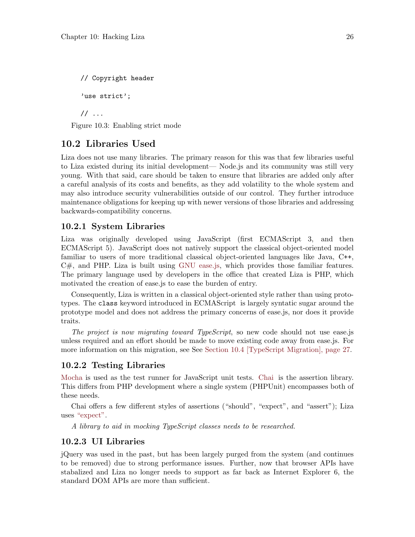<span id="page-29-2"></span><span id="page-29-0"></span>// Copyright header 'use strict'; // ...

Figure 10.3: Enabling strict mode

#### <span id="page-29-1"></span>10.2 Libraries Used

Liza does not use many libraries. The primary reason for this was that few libraries useful to Liza existed during its initial development— Node.js and its community was still very young. With that said, care should be taken to ensure that libraries are added only after a careful analysis of its costs and benefits, as they add volatility to the whole system and may also introduce security vulnerabilities outside of our control. They further introduce maintenance obligations for keeping up with newer versions of those libraries and addressing backwards-compatibility concerns.

#### 10.2.1 System Libraries

Liza was originally developed using JavaScript (first ECMAScript 3, and then ECMAScript 5). JavaScript does not natively support the classical object-oriented model familiar to users of more traditional classical object-oriented languages like Java, C++, C#, and PHP. Liza is built using [GNU ease.js,](https://www.gnu.org/software/easejs) which provides those familiar features. The primary language used by developers in the office that created Liza is PHP, which motivated the creation of ease.js to ease the burden of entry.

Consequently, Liza is written in a classical object-oriented style rather than using prototypes. The class keyword introduced in ECMAScript is largely syntatic sugar around the prototype model and does not address the primary concerns of ease.js, nor does it provide traits.

The project is now migrating toward TypeScript, so new code should not use ease.js unless required and an effort should be made to move existing code away from ease.js. For more information on this migration, see See [Section 10.4 \[TypeScript Migration\], page 27.](#page-30-2)

#### 10.2.2 Testing Libraries

[Mocha](https://mochajs.org/) is used as the test runner for JavaScript unit tests. [Chai](http://www.chaijs.com/) is the assertion library. This differs from PHP development where a single system (PHPUnit) encompasses both of these needs.

Chai offers a few different styles of assertions ("should", "expect", and "assert"); Liza uses ["expect".](http://www.chaijs.com/guide/styles/#expect)

A library to aid in mocking TypeScript classes needs to be researched.

#### 10.2.3 UI Libraries

jQuery was used in the past, but has been largely purged from the system (and continues to be removed) due to strong performance issues. Further, now that browser APIs have stabalized and Liza no longer needs to support as far back as Internet Explorer 6, the standard DOM APIs are more than sufficient.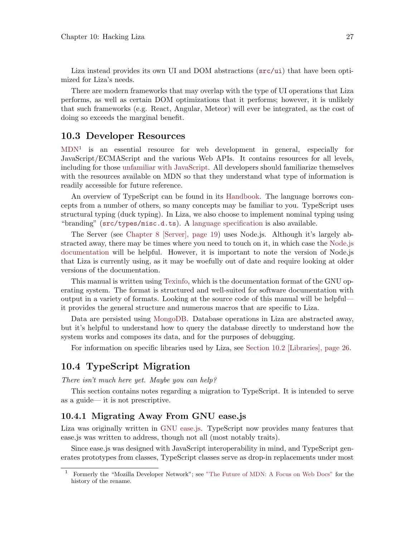<span id="page-30-0"></span>Liza instead provides its own UI and DOM abstractions ( $src/ui$ ) that have been optimized for Liza's needs.

There are modern frameworks that may overlap with the type of UI operations that Liza performs, as well as certain DOM optimizations that it performs; however, it is unlikely that such frameworks (e.g. React, Angular, Meteor) will ever be integrated, as the cost of doing so exceeds the marginal benefit.

#### <span id="page-30-1"></span>10.3 Developer Resources

[MDN](https://developer.mozilla.org/en-US/docs/Web)<sup>1</sup> is an essential resource for web development in general, especially for JavaScript/ECMAScript and the various Web APIs. It contains resources for all levels, including for those [unfamiliar with JavaScript.](https://developer.mozilla.org/en-US/docs/Learn/JavaScript/First_steps) All developers should familiarize themselves with the resources available on MDN so that they understand what type of information is readily accessible for future reference.

An overview of TypeScript can be found in its [Handbook.](https://www.typescriptlang.org/docs/handbook/basic-types.html) The language borrows concepts from a number of others, so many concepts may be familiar to you. TypeScript uses structural typing (duck typing). In Liza, we also choose to implement nominal typing using "branding" ([src/types/misc.d.ts](https://gitlab.com/lovullo/liza/tree/master/src/types/misc.d.ts)). A [language specification](https://github.com/microsoft/TypeScript/blob/master/doc/spec.md) is also available.

The Server (see [Chapter 8 \[Server\], page 19](#page-22-0)) uses Node.js. Although it's largely abstracted away, there may be times where you need to touch on it, in which case the [Node.js](https://nodejs.org/en/docs/) [documentation](https://nodejs.org/en/docs/) will be helpful. However, it is important to note the version of Node.js that Liza is currently using, as it may be woefully out of date and require looking at older versions of the documentation.

This manual is written using [Texinfo](https://www.gnu.org/software/texinfo/), which is the documentation format of the GNU operating system. The format is structured and well-suited for software documentation with output in a variety of formats. Looking at the source code of this manual will be helpful it provides the general structure and numerous macros that are specific to Liza.

Data are persisted using [MongoDB](https://www.mongodb.com/). Database operations in Liza are abstracted away, but it's helpful to understand how to query the database directly to understand how the system works and composes its data, and for the purposes of debugging.

For information on specific libraries used by Liza, see [Section 10.2 \[Libraries\], page 26.](#page-29-1)

### <span id="page-30-2"></span>10.4 TypeScript Migration

There isn't much here yet. Maybe you can help?

This section contains notes regarding a migration to TypeScript. It is intended to serve as a guide— it is not prescriptive.

#### 10.4.1 Migrating Away From GNU ease.js

Liza was originally written in [GNU ease.js](https://www.gnu.org/software/easejs). TypeScript now provides many features that ease.js was written to address, though not all (most notably traits).

Since ease.js was designed with JavaScript interoperability in mind, and TypeScript generates prototypes from classes, TypeScript classes serve as drop-in replacements under most

<sup>1</sup> Formerly the "Mozilla Developer Network"; see ["The Future of MDN: A Focus on Web Docs"](https://blog.mozilla.org/opendesign/future-mdn-focus-web-docs/) for the history of the rename.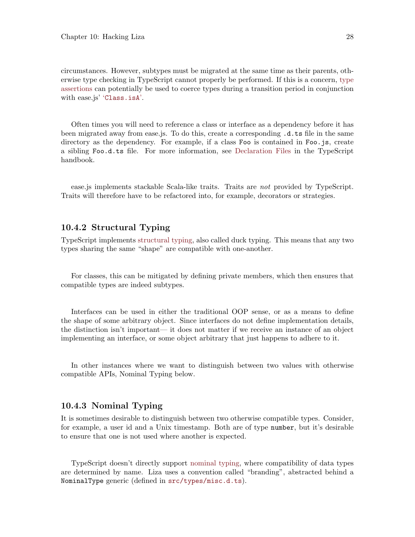<span id="page-31-0"></span>circumstances. However, subtypes must be migrated at the same time as their parents, otherwise type checking in TypeScript cannot properly be performed. If this is a concern, [type](https://www.typescriptlang.org/docs/handbook/advanced-types.html#type-guards-and-type-assertions) [assertions](https://www.typescriptlang.org/docs/handbook/advanced-types.html#type-guards-and-type-assertions) can potentially be used to coerce types during a transition period in conjunction with ease.js' '[Class.isA](https://www.gnu.org/software/easejs/manual/easejs.html#Type-Checks-and-Polymorphism)'.

Often times you will need to reference a class or interface as a dependency before it has been migrated away from ease.js. To do this, create a corresponding .d.ts file in the same directory as the dependency. For example, if a class Foo is contained in Foo.js, create a sibling Foo.d.ts file. For more information, see [Declaration Files](https://www.typescriptlang.org/docs/handbook/declaration-files/introduction.html) in the TypeScript handbook.

ease.js implements stackable Scala-like traits. Traits are *not* provided by TypeScript. Traits will therefore have to be refactored into, for example, decorators or strategies.

#### 10.4.2 Structural Typing

TypeScript implements [structural typing,](https://en.wikipedia.org/wiki/Structural_typing) also called duck typing. This means that any two types sharing the same "shape" are compatible with one-another.

For classes, this can be mitigated by defining private members, which then ensures that compatible types are indeed subtypes.

Interfaces can be used in either the traditional OOP sense, or as a means to define the shape of some arbitrary object. Since interfaces do not define implementation details, the distinction isn't important— it does not matter if we receive an instance of an object implementing an interface, or some object arbitrary that just happens to adhere to it.

In other instances where we want to distinguish between two values with otherwise compatible APIs, Nominal Typing below.

#### 10.4.3 Nominal Typing

It is sometimes desirable to distinguish between two otherwise compatible types. Consider, for example, a user id and a Unix timestamp. Both are of type number, but it's desirable to ensure that one is not used where another is expected.

TypeScript doesn't directly support [nominal typing](https://en.wikipedia.org/wiki/Nominal_typing), where compatibility of data types are determined by name. Liza uses a convention called "branding", abstracted behind a NominalType generic (defined in [src/types/misc.d.ts](https://gitlab.com/lovullo/liza/tree/master/src/types/misc.d.ts)).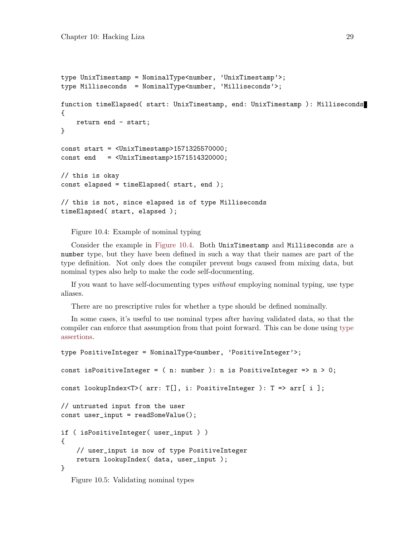```
type UnixTimestamp = NominalType<number, 'UnixTimestamp'>;
type Milliseconds = NominalType<number, 'Milliseconds'>;
function timeElapsed( start: UnixTimestamp, end: UnixTimestamp ): Milliseconds
{
    return end - start;
}
const start = <UnixTimestamp>1571325570000;
const end = \langle \text{UnixTimestamp>1571514320000};// this is okay
const elapsed = timeElapsed( start, end );
// this is not, since elapsed is of type Milliseconds
timeElapsed( start, elapsed );
```
Figure 10.4: Example of nominal typing

Consider the example in [Figure 10.4.](#page-32-0) Both UnixTimestamp and Milliseconds are a number type, but they have been defined in such a way that their names are part of the type definition. Not only does the compiler prevent bugs caused from mixing data, but nominal types also help to make the code self-documenting.

If you want to have self-documenting types without employing nominal typing, use type aliases.

There are no prescriptive rules for whether a type should be defined nominally.

In some cases, it's useful to use nominal types after having validated data, so that the compiler can enforce that assumption from that point forward. This can be done using [type](https://www.typescriptlang.org/docs/handbook/advanced-types.html#type-guards-and-type-assertions) [assertions](https://www.typescriptlang.org/docs/handbook/advanced-types.html#type-guards-and-type-assertions).

```
type PositiveInteger = NominalType<number, 'PositiveInteger'>;
const isPositiveInteger = ( n: number ): n is PositiveInteger => n > 0;
const lookupIndex<T>( arr: T[], i: PositiveInteger ): T => arr[ i ];
// untrusted input from the user
const user_input = readSomeValue();
if ( isPositiveInteger( user_input ) )
{
    // user_input is now of type PositiveInteger
    return lookupIndex( data, user_input );
}
  Figure 10.5: Validating nominal types
```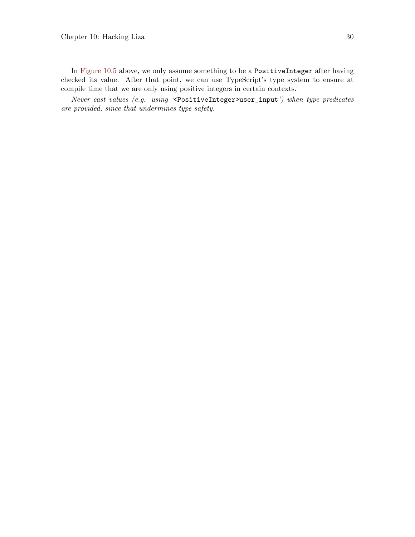In [Figure 10.5](#page-32-1) above, we only assume something to be a PositiveInteger after having checked its value. After that point, we can use TypeScript's type system to ensure at compile time that we are only using positive integers in certain contexts.

Never cast values (e.g. using '<PositiveInteger>user\_input') when type predicates are provided, since that undermines type safety.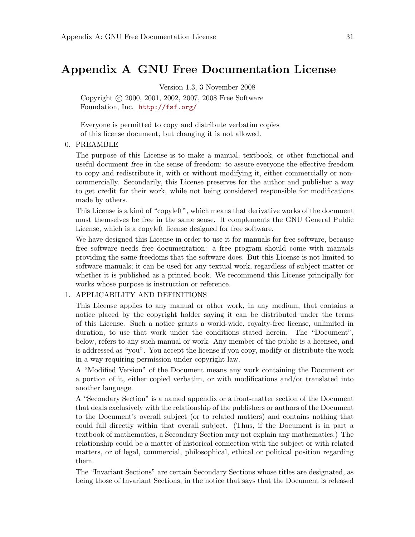### <span id="page-34-0"></span>Appendix A GNU Free Documentation License

Version 1.3, 3 November 2008

Copyright (c) 2000, 2001, 2002, 2007, 2008 Free Software Foundation, Inc. <http://fsf.org/>

Everyone is permitted to copy and distribute verbatim copies of this license document, but changing it is not allowed.

#### 0. PREAMBLE

The purpose of this License is to make a manual, textbook, or other functional and useful document free in the sense of freedom: to assure everyone the effective freedom to copy and redistribute it, with or without modifying it, either commercially or noncommercially. Secondarily, this License preserves for the author and publisher a way to get credit for their work, while not being considered responsible for modifications made by others.

This License is a kind of "copyleft", which means that derivative works of the document must themselves be free in the same sense. It complements the GNU General Public License, which is a copyleft license designed for free software.

We have designed this License in order to use it for manuals for free software, because free software needs free documentation: a free program should come with manuals providing the same freedoms that the software does. But this License is not limited to software manuals; it can be used for any textual work, regardless of subject matter or whether it is published as a printed book. We recommend this License principally for works whose purpose is instruction or reference.

#### 1. APPLICABILITY AND DEFINITIONS

This License applies to any manual or other work, in any medium, that contains a notice placed by the copyright holder saying it can be distributed under the terms of this License. Such a notice grants a world-wide, royalty-free license, unlimited in duration, to use that work under the conditions stated herein. The "Document", below, refers to any such manual or work. Any member of the public is a licensee, and is addressed as "you". You accept the license if you copy, modify or distribute the work in a way requiring permission under copyright law.

A "Modified Version" of the Document means any work containing the Document or a portion of it, either copied verbatim, or with modifications and/or translated into another language.

A "Secondary Section" is a named appendix or a front-matter section of the Document that deals exclusively with the relationship of the publishers or authors of the Document to the Document's overall subject (or to related matters) and contains nothing that could fall directly within that overall subject. (Thus, if the Document is in part a textbook of mathematics, a Secondary Section may not explain any mathematics.) The relationship could be a matter of historical connection with the subject or with related matters, or of legal, commercial, philosophical, ethical or political position regarding them.

The "Invariant Sections" are certain Secondary Sections whose titles are designated, as being those of Invariant Sections, in the notice that says that the Document is released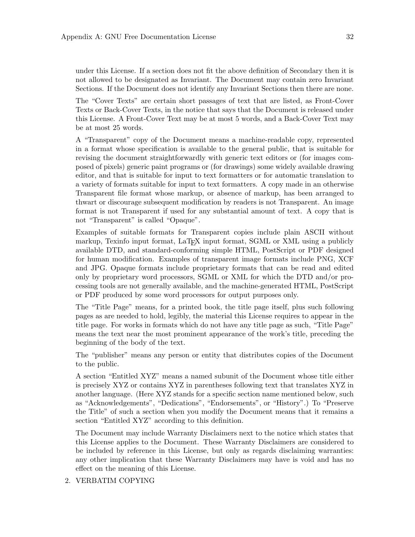under this License. If a section does not fit the above definition of Secondary then it is not allowed to be designated as Invariant. The Document may contain zero Invariant Sections. If the Document does not identify any Invariant Sections then there are none.

The "Cover Texts" are certain short passages of text that are listed, as Front-Cover Texts or Back-Cover Texts, in the notice that says that the Document is released under this License. A Front-Cover Text may be at most 5 words, and a Back-Cover Text may be at most 25 words.

A "Transparent" copy of the Document means a machine-readable copy, represented in a format whose specification is available to the general public, that is suitable for revising the document straightforwardly with generic text editors or (for images composed of pixels) generic paint programs or (for drawings) some widely available drawing editor, and that is suitable for input to text formatters or for automatic translation to a variety of formats suitable for input to text formatters. A copy made in an otherwise Transparent file format whose markup, or absence of markup, has been arranged to thwart or discourage subsequent modification by readers is not Transparent. An image format is not Transparent if used for any substantial amount of text. A copy that is not "Transparent" is called "Opaque".

Examples of suitable formats for Transparent copies include plain ASCII without markup, Texinfo input format, LaT<sub>EX</sub> input format, SGML or XML using a publicly available DTD, and standard-conforming simple HTML, PostScript or PDF designed for human modification. Examples of transparent image formats include PNG, XCF and JPG. Opaque formats include proprietary formats that can be read and edited only by proprietary word processors, SGML or XML for which the DTD and/or processing tools are not generally available, and the machine-generated HTML, PostScript or PDF produced by some word processors for output purposes only.

The "Title Page" means, for a printed book, the title page itself, plus such following pages as are needed to hold, legibly, the material this License requires to appear in the title page. For works in formats which do not have any title page as such, "Title Page" means the text near the most prominent appearance of the work's title, preceding the beginning of the body of the text.

The "publisher" means any person or entity that distributes copies of the Document to the public.

A section "Entitled XYZ" means a named subunit of the Document whose title either is precisely XYZ or contains XYZ in parentheses following text that translates XYZ in another language. (Here XYZ stands for a specific section name mentioned below, such as "Acknowledgements", "Dedications", "Endorsements", or "History".) To "Preserve the Title" of such a section when you modify the Document means that it remains a section "Entitled XYZ" according to this definition.

The Document may include Warranty Disclaimers next to the notice which states that this License applies to the Document. These Warranty Disclaimers are considered to be included by reference in this License, but only as regards disclaiming warranties: any other implication that these Warranty Disclaimers may have is void and has no effect on the meaning of this License.

2. VERBATIM COPYING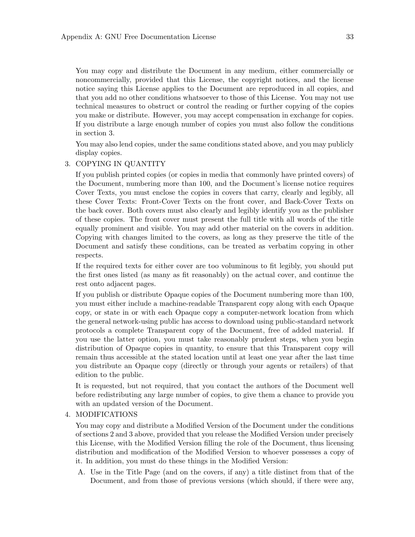You may copy and distribute the Document in any medium, either commercially or noncommercially, provided that this License, the copyright notices, and the license notice saying this License applies to the Document are reproduced in all copies, and that you add no other conditions whatsoever to those of this License. You may not use technical measures to obstruct or control the reading or further copying of the copies you make or distribute. However, you may accept compensation in exchange for copies. If you distribute a large enough number of copies you must also follow the conditions in section 3.

You may also lend copies, under the same conditions stated above, and you may publicly display copies.

#### 3. COPYING IN QUANTITY

If you publish printed copies (or copies in media that commonly have printed covers) of the Document, numbering more than 100, and the Document's license notice requires Cover Texts, you must enclose the copies in covers that carry, clearly and legibly, all these Cover Texts: Front-Cover Texts on the front cover, and Back-Cover Texts on the back cover. Both covers must also clearly and legibly identify you as the publisher of these copies. The front cover must present the full title with all words of the title equally prominent and visible. You may add other material on the covers in addition. Copying with changes limited to the covers, as long as they preserve the title of the Document and satisfy these conditions, can be treated as verbatim copying in other respects.

If the required texts for either cover are too voluminous to fit legibly, you should put the first ones listed (as many as fit reasonably) on the actual cover, and continue the rest onto adjacent pages.

If you publish or distribute Opaque copies of the Document numbering more than 100, you must either include a machine-readable Transparent copy along with each Opaque copy, or state in or with each Opaque copy a computer-network location from which the general network-using public has access to download using public-standard network protocols a complete Transparent copy of the Document, free of added material. If you use the latter option, you must take reasonably prudent steps, when you begin distribution of Opaque copies in quantity, to ensure that this Transparent copy will remain thus accessible at the stated location until at least one year after the last time you distribute an Opaque copy (directly or through your agents or retailers) of that edition to the public.

It is requested, but not required, that you contact the authors of the Document well before redistributing any large number of copies, to give them a chance to provide you with an updated version of the Document.

#### 4. MODIFICATIONS

You may copy and distribute a Modified Version of the Document under the conditions of sections 2 and 3 above, provided that you release the Modified Version under precisely this License, with the Modified Version filling the role of the Document, thus licensing distribution and modification of the Modified Version to whoever possesses a copy of it. In addition, you must do these things in the Modified Version:

A. Use in the Title Page (and on the covers, if any) a title distinct from that of the Document, and from those of previous versions (which should, if there were any,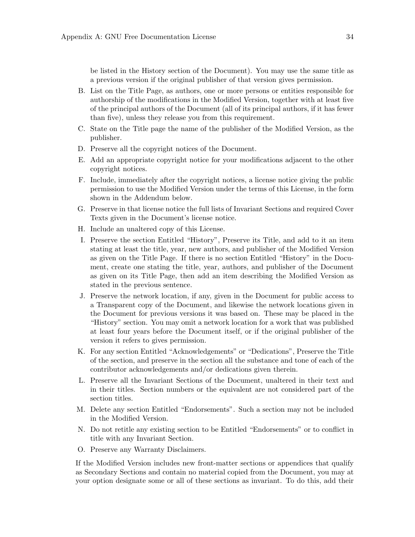be listed in the History section of the Document). You may use the same title as a previous version if the original publisher of that version gives permission.

- B. List on the Title Page, as authors, one or more persons or entities responsible for authorship of the modifications in the Modified Version, together with at least five of the principal authors of the Document (all of its principal authors, if it has fewer than five), unless they release you from this requirement.
- C. State on the Title page the name of the publisher of the Modified Version, as the publisher.
- D. Preserve all the copyright notices of the Document.
- E. Add an appropriate copyright notice for your modifications adjacent to the other copyright notices.
- F. Include, immediately after the copyright notices, a license notice giving the public permission to use the Modified Version under the terms of this License, in the form shown in the Addendum below.
- G. Preserve in that license notice the full lists of Invariant Sections and required Cover Texts given in the Document's license notice.
- H. Include an unaltered copy of this License.
- I. Preserve the section Entitled "History", Preserve its Title, and add to it an item stating at least the title, year, new authors, and publisher of the Modified Version as given on the Title Page. If there is no section Entitled "History" in the Document, create one stating the title, year, authors, and publisher of the Document as given on its Title Page, then add an item describing the Modified Version as stated in the previous sentence.
- J. Preserve the network location, if any, given in the Document for public access to a Transparent copy of the Document, and likewise the network locations given in the Document for previous versions it was based on. These may be placed in the "History" section. You may omit a network location for a work that was published at least four years before the Document itself, or if the original publisher of the version it refers to gives permission.
- K. For any section Entitled "Acknowledgements" or "Dedications", Preserve the Title of the section, and preserve in the section all the substance and tone of each of the contributor acknowledgements and/or dedications given therein.
- L. Preserve all the Invariant Sections of the Document, unaltered in their text and in their titles. Section numbers or the equivalent are not considered part of the section titles.
- M. Delete any section Entitled "Endorsements". Such a section may not be included in the Modified Version.
- N. Do not retitle any existing section to be Entitled "Endorsements" or to conflict in title with any Invariant Section.
- O. Preserve any Warranty Disclaimers.

If the Modified Version includes new front-matter sections or appendices that qualify as Secondary Sections and contain no material copied from the Document, you may at your option designate some or all of these sections as invariant. To do this, add their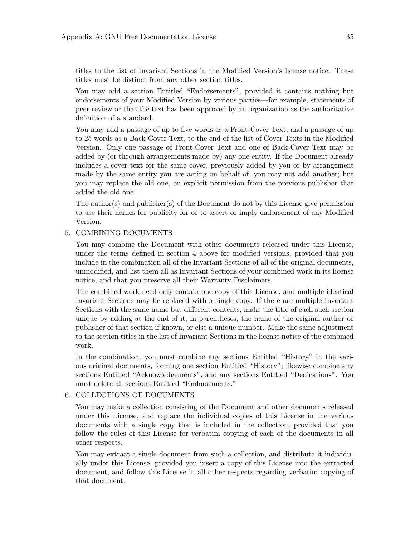titles to the list of Invariant Sections in the Modified Version's license notice. These titles must be distinct from any other section titles.

You may add a section Entitled "Endorsements", provided it contains nothing but endorsements of your Modified Version by various parties—for example, statements of peer review or that the text has been approved by an organization as the authoritative definition of a standard.

You may add a passage of up to five words as a Front-Cover Text, and a passage of up to 25 words as a Back-Cover Text, to the end of the list of Cover Texts in the Modified Version. Only one passage of Front-Cover Text and one of Back-Cover Text may be added by (or through arrangements made by) any one entity. If the Document already includes a cover text for the same cover, previously added by you or by arrangement made by the same entity you are acting on behalf of, you may not add another; but you may replace the old one, on explicit permission from the previous publisher that added the old one.

The author(s) and publisher(s) of the Document do not by this License give permission to use their names for publicity for or to assert or imply endorsement of any Modified Version.

#### 5. COMBINING DOCUMENTS

You may combine the Document with other documents released under this License, under the terms defined in section 4 above for modified versions, provided that you include in the combination all of the Invariant Sections of all of the original documents, unmodified, and list them all as Invariant Sections of your combined work in its license notice, and that you preserve all their Warranty Disclaimers.

The combined work need only contain one copy of this License, and multiple identical Invariant Sections may be replaced with a single copy. If there are multiple Invariant Sections with the same name but different contents, make the title of each such section unique by adding at the end of it, in parentheses, the name of the original author or publisher of that section if known, or else a unique number. Make the same adjustment to the section titles in the list of Invariant Sections in the license notice of the combined work.

In the combination, you must combine any sections Entitled "History" in the various original documents, forming one section Entitled "History"; likewise combine any sections Entitled "Acknowledgements", and any sections Entitled "Dedications". You must delete all sections Entitled "Endorsements."

#### 6. COLLECTIONS OF DOCUMENTS

You may make a collection consisting of the Document and other documents released under this License, and replace the individual copies of this License in the various documents with a single copy that is included in the collection, provided that you follow the rules of this License for verbatim copying of each of the documents in all other respects.

You may extract a single document from such a collection, and distribute it individually under this License, provided you insert a copy of this License into the extracted document, and follow this License in all other respects regarding verbatim copying of that document.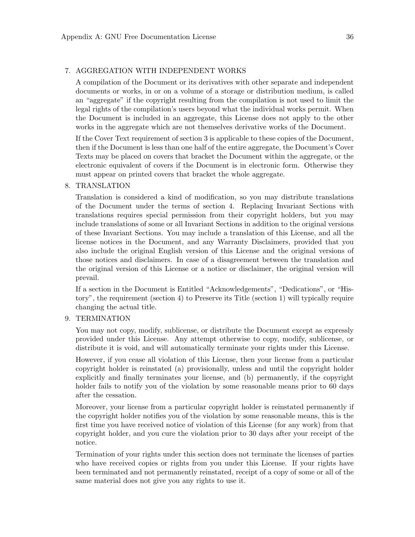#### 7. AGGREGATION WITH INDEPENDENT WORKS

A compilation of the Document or its derivatives with other separate and independent documents or works, in or on a volume of a storage or distribution medium, is called an "aggregate" if the copyright resulting from the compilation is not used to limit the legal rights of the compilation's users beyond what the individual works permit. When the Document is included in an aggregate, this License does not apply to the other works in the aggregate which are not themselves derivative works of the Document.

If the Cover Text requirement of section 3 is applicable to these copies of the Document, then if the Document is less than one half of the entire aggregate, the Document's Cover Texts may be placed on covers that bracket the Document within the aggregate, or the electronic equivalent of covers if the Document is in electronic form. Otherwise they must appear on printed covers that bracket the whole aggregate.

#### 8. TRANSLATION

Translation is considered a kind of modification, so you may distribute translations of the Document under the terms of section 4. Replacing Invariant Sections with translations requires special permission from their copyright holders, but you may include translations of some or all Invariant Sections in addition to the original versions of these Invariant Sections. You may include a translation of this License, and all the license notices in the Document, and any Warranty Disclaimers, provided that you also include the original English version of this License and the original versions of those notices and disclaimers. In case of a disagreement between the translation and the original version of this License or a notice or disclaimer, the original version will prevail.

If a section in the Document is Entitled "Acknowledgements", "Dedications", or "History", the requirement (section 4) to Preserve its Title (section 1) will typically require changing the actual title.

#### 9. TERMINATION

You may not copy, modify, sublicense, or distribute the Document except as expressly provided under this License. Any attempt otherwise to copy, modify, sublicense, or distribute it is void, and will automatically terminate your rights under this License.

However, if you cease all violation of this License, then your license from a particular copyright holder is reinstated (a) provisionally, unless and until the copyright holder explicitly and finally terminates your license, and (b) permanently, if the copyright holder fails to notify you of the violation by some reasonable means prior to 60 days after the cessation.

Moreover, your license from a particular copyright holder is reinstated permanently if the copyright holder notifies you of the violation by some reasonable means, this is the first time you have received notice of violation of this License (for any work) from that copyright holder, and you cure the violation prior to 30 days after your receipt of the notice.

Termination of your rights under this section does not terminate the licenses of parties who have received copies or rights from you under this License. If your rights have been terminated and not permanently reinstated, receipt of a copy of some or all of the same material does not give you any rights to use it.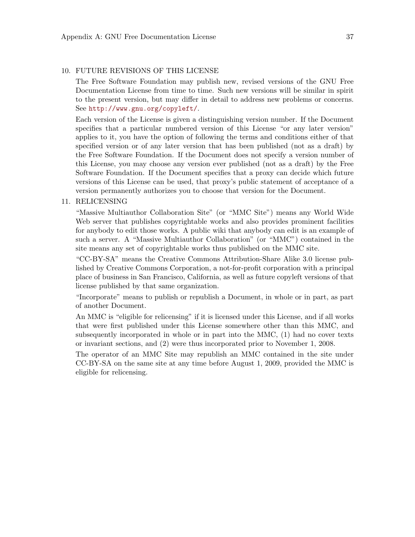#### 10. FUTURE REVISIONS OF THIS LICENSE

The Free Software Foundation may publish new, revised versions of the GNU Free Documentation License from time to time. Such new versions will be similar in spirit to the present version, but may differ in detail to address new problems or concerns. See <http://www.gnu.org/copyleft/>.

Each version of the License is given a distinguishing version number. If the Document specifies that a particular numbered version of this License "or any later version" applies to it, you have the option of following the terms and conditions either of that specified version or of any later version that has been published (not as a draft) by the Free Software Foundation. If the Document does not specify a version number of this License, you may choose any version ever published (not as a draft) by the Free Software Foundation. If the Document specifies that a proxy can decide which future versions of this License can be used, that proxy's public statement of acceptance of a version permanently authorizes you to choose that version for the Document.

#### 11. RELICENSING

"Massive Multiauthor Collaboration Site" (or "MMC Site") means any World Wide Web server that publishes copyrightable works and also provides prominent facilities for anybody to edit those works. A public wiki that anybody can edit is an example of such a server. A "Massive Multiauthor Collaboration" (or "MMC") contained in the site means any set of copyrightable works thus published on the MMC site.

"CC-BY-SA" means the Creative Commons Attribution-Share Alike 3.0 license published by Creative Commons Corporation, a not-for-profit corporation with a principal place of business in San Francisco, California, as well as future copyleft versions of that license published by that same organization.

"Incorporate" means to publish or republish a Document, in whole or in part, as part of another Document.

An MMC is "eligible for relicensing" if it is licensed under this License, and if all works that were first published under this License somewhere other than this MMC, and subsequently incorporated in whole or in part into the MMC, (1) had no cover texts or invariant sections, and (2) were thus incorporated prior to November 1, 2008.

The operator of an MMC Site may republish an MMC contained in the site under CC-BY-SA on the same site at any time before August 1, 2009, provided the MMC is eligible for relicensing.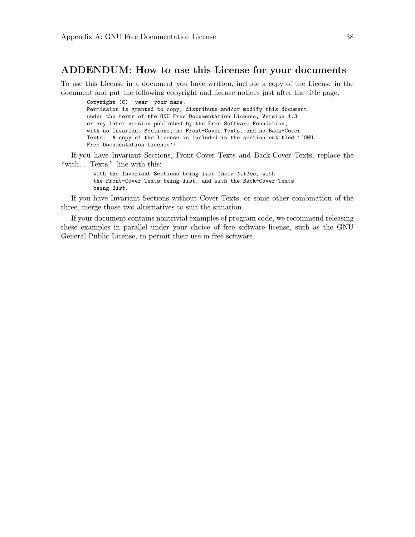#### ADDENDUM: How to use this License for your documents

To use this License in a document you have written, include a copy of the License in the document and put the following copyright and license notices just after the title page:

Copyright (C) year your name. Permission is granted to copy, distribute and/or modify this document under the terms of the GNU Free Documentation License, Version 1.3 or any later version published by the Free Software Foundation; with no Invariant Sections, no Front-Cover Texts, and no Back-Cover Texts. A copy of the license is included in the section entitled ''GNU Free Documentation License''.

If you have Invariant Sections, Front-Cover Texts and Back-Cover Texts, replace the "with. . . Texts." line with this:

> with the Invariant Sections being list their titles, with the Front-Cover Texts being list, and with the Back-Cover Texts being list.

If you have Invariant Sections without Cover Texts, or some other combination of the three, merge those two alternatives to suit the situation.

If your document contains nontrivial examples of program code, we recommend releasing these examples in parallel under your choice of free software license, such as the GNU General Public License, to permit their use in free software.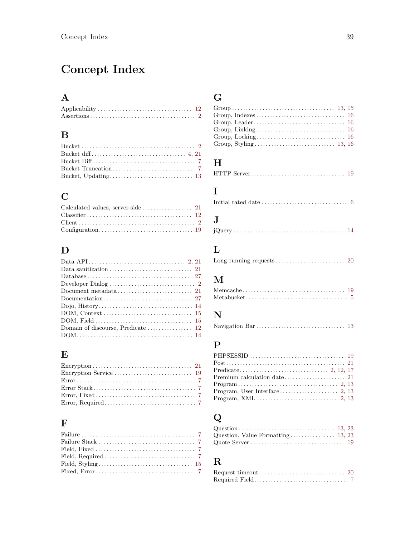# <span id="page-42-0"></span>Concept Index

## $\mathbf A$

### $\, {\bf B}$

### $\mathbf C$

## $\label{eq:1} \mathbf{D}$

| $DOM, Field \ldots \ldots \ldots \ldots \ldots \ldots \ldots \ldots \ldots \ldots 15$ |  |
|---------------------------------------------------------------------------------------|--|
|                                                                                       |  |
|                                                                                       |  |

### ${\bf E}$

## $\mathbf{F}% _{0}$

### ${\bf G}$

## $\mathbf H$

## $\overline{I}$

|--|--|

## $\mathbf{J}$

## $\mathbf L$

|--|--|--|

## $\mathbf{M}$

### $\mathbf N$

|--|--|--|

## $\mathbf P$

# $\bf Q$

## $\overline{\mathbf{R}}$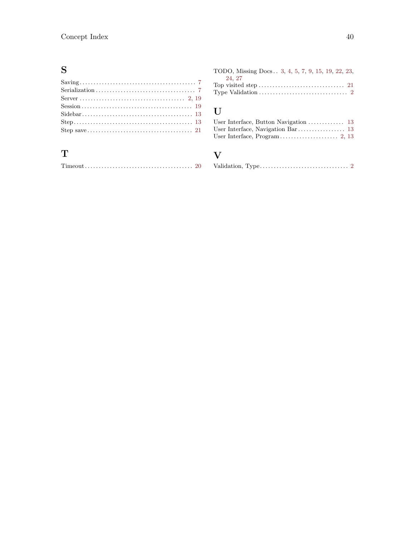## S

## T

| TODO, Missing Docs 3, 4, 5, 7, 9, 15, 19, 22, 23, |  |  |  |
|---------------------------------------------------|--|--|--|
| 24, 27                                            |  |  |  |
|                                                   |  |  |  |
|                                                   |  |  |  |

## U

### V

|--|--|--|